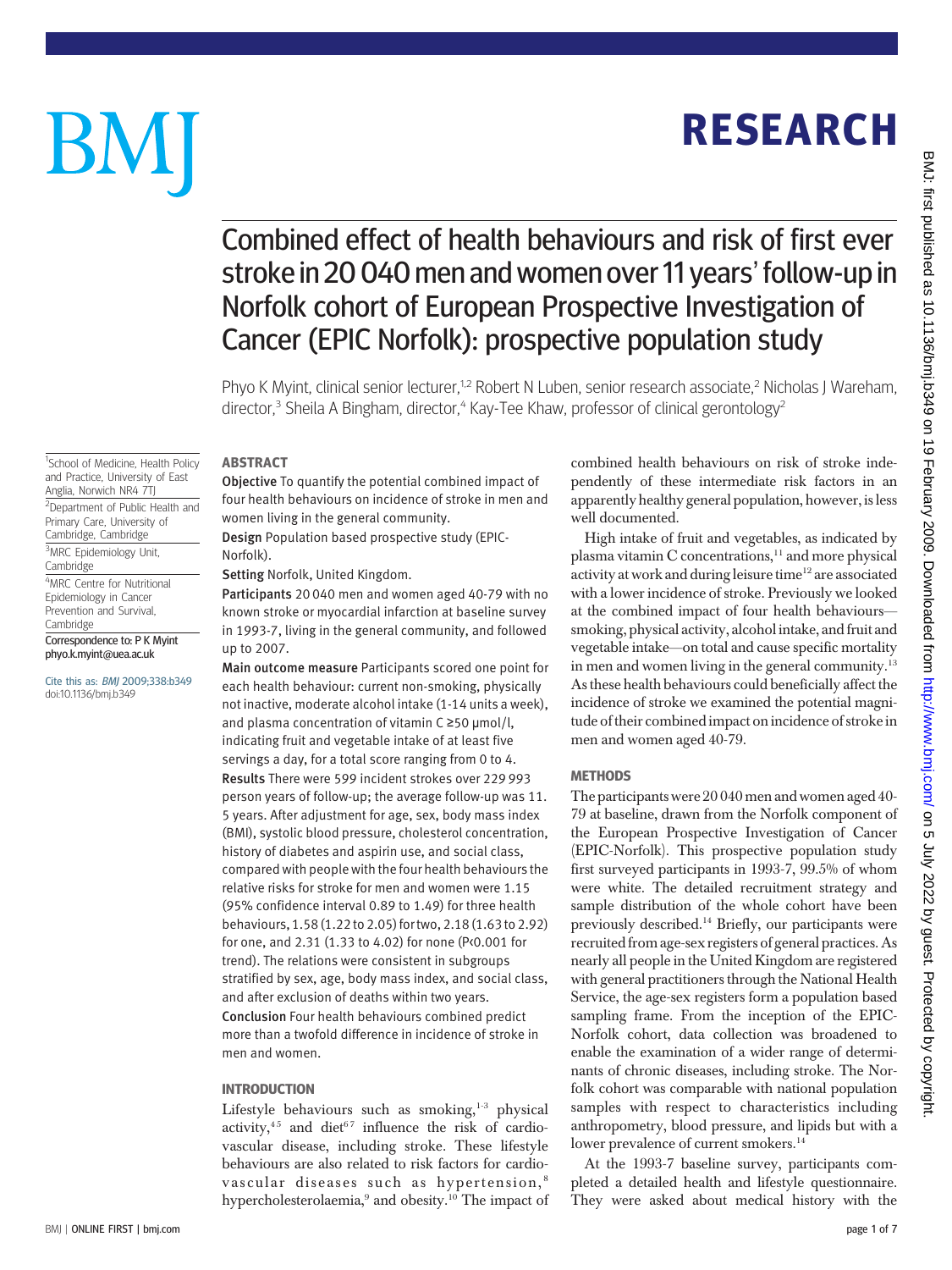## RESEARCH

# BM

<sup>1</sup>School of Medicine, Health Policy and Practice, University of East Anglia, Norwich NR4 7TJ <sup>2</sup>Department of Public Health and Primary Care, University of Cambridge, Cambridge <sup>3</sup>MRC Epidemiology Unit,

<sup>4</sup>MRC Centre for Nutritional Epidemiology in Cancer Prevention and Survival,

Correspondence to: P K Myint phyo.k.myint@uea.ac.uk Cite this as: BMJ 2009;338:b349 doi:10.1136/bmj.b349

Cambridge

Cambridge

### Combined effect of health behaviours and risk of first ever stroke in 20 040 men and women over 11 years' follow-up in Norfolk cohort of European Prospective Investigation of Cancer (EPIC Norfolk): prospective population study

Phyo K Myint, clinical senior lecturer,<sup>1,2</sup> Robert N Luben, senior research associate,<sup>2</sup> Nicholas J Wareham, director,<sup>3</sup> Sheila A Bingham, director,<sup>4</sup> Kay-Tee Khaw, professor of clinical gerontology<sup>2</sup>

#### ABSTRACT

Objective To quantify the potential combined impact of four health behaviours on incidence of stroke in men and women living in the general community.

Design Population based prospective study (EPIC-Norfolk).

Setting Norfolk, United Kingdom.

Participants 20 040 men and women aged 40-79 with no known stroke or myocardial infarction at baseline survey in 1993-7, living in the general community, and followed up to 2007.

Main outcome measure Participants scored one point for each health behaviour: current non-smoking, physically not inactive, moderate alcohol intake (1-14 units a week), and plasma concentration of vitamin C ≥50 µmol/l, indicating fruit and vegetable intake of at least five servings a day, for a total score ranging from 0 to 4. Results There were 599 incident strokes over 229 993 person years of follow-up; the average follow-up was 11. 5 years. After adjustment for age, sex, body mass index (BMI), systolic blood pressure, cholesterol concentration, history of diabetes and aspirin use, and social class, compared with people with the four health behaviours the relative risks for stroke for men and women were 1.15 (95% confidence interval 0.89 to 1.49) for three health behaviours, 1.58 (1.22 to 2.05) for two, 2.18 (1.63 to 2.92) for one, and 2.31 (1.33 to 4.02) for none (P<0.001 for trend). The relations were consistent in subgroups stratified by sex, age, body mass index, and social class, and after exclusion of deaths within two years.

Conclusion Four health behaviours combined predict more than a twofold difference in incidence of stroke in men and women.

#### INTRODUCTION

Lifestyle behaviours such as smoking, $1-3$  physical activity, $45$  and diet $67$  influence the risk of cardiovascular disease, including stroke. These lifestyle behaviours are also related to risk factors for cardiovascular diseases such as hypertension,<sup>8</sup> hypercholesterolaemia, $9$  and obesity.<sup>10</sup> The impact of combined health behaviours on risk of stroke independently of these intermediate risk factors in an apparently healthy general population, however, is less well documented.

High intake of fruit and vegetables, as indicated by plasma vitamin  $C$  concentrations,<sup>11</sup> and more physical activity at work and during leisure time<sup>12</sup> are associated with a lower incidence of stroke. Previously we looked at the combined impact of four health behaviours smoking, physical activity, alcohol intake, and fruit and vegetable intake—on total and cause specific mortality in men and women living in the general community.<sup>13</sup> As these health behaviours could beneficially affect the incidence of stroke we examined the potential magnitude of their combined impact on incidence of stroke in men and women aged 40-79.

#### **METHODS**

The participants were 20 040 men and women aged 40- 79 at baseline, drawn from the Norfolk component of the European Prospective Investigation of Cancer (EPIC-Norfolk). This prospective population study first surveyed participants in 1993-7, 99.5% of whom were white. The detailed recruitment strategy and sample distribution of the whole cohort have been previously described.14 Briefly, our participants were recruited from age-sex registers of general practices. As nearly all people in the United Kingdom are registered with general practitioners through the National Health Service, the age-sex registers form a population based sampling frame. From the inception of the EPIC-Norfolk cohort, data collection was broadened to enable the examination of a wider range of determinants of chronic diseases, including stroke. The Norfolk cohort was comparable with national population samples with respect to characteristics including anthropometry, blood pressure, and lipids but with a lower prevalence of current smokers.<sup>14</sup>

At the 1993-7 baseline survey, participants completed a detailed health and lifestyle questionnaire. They were asked about medical history with the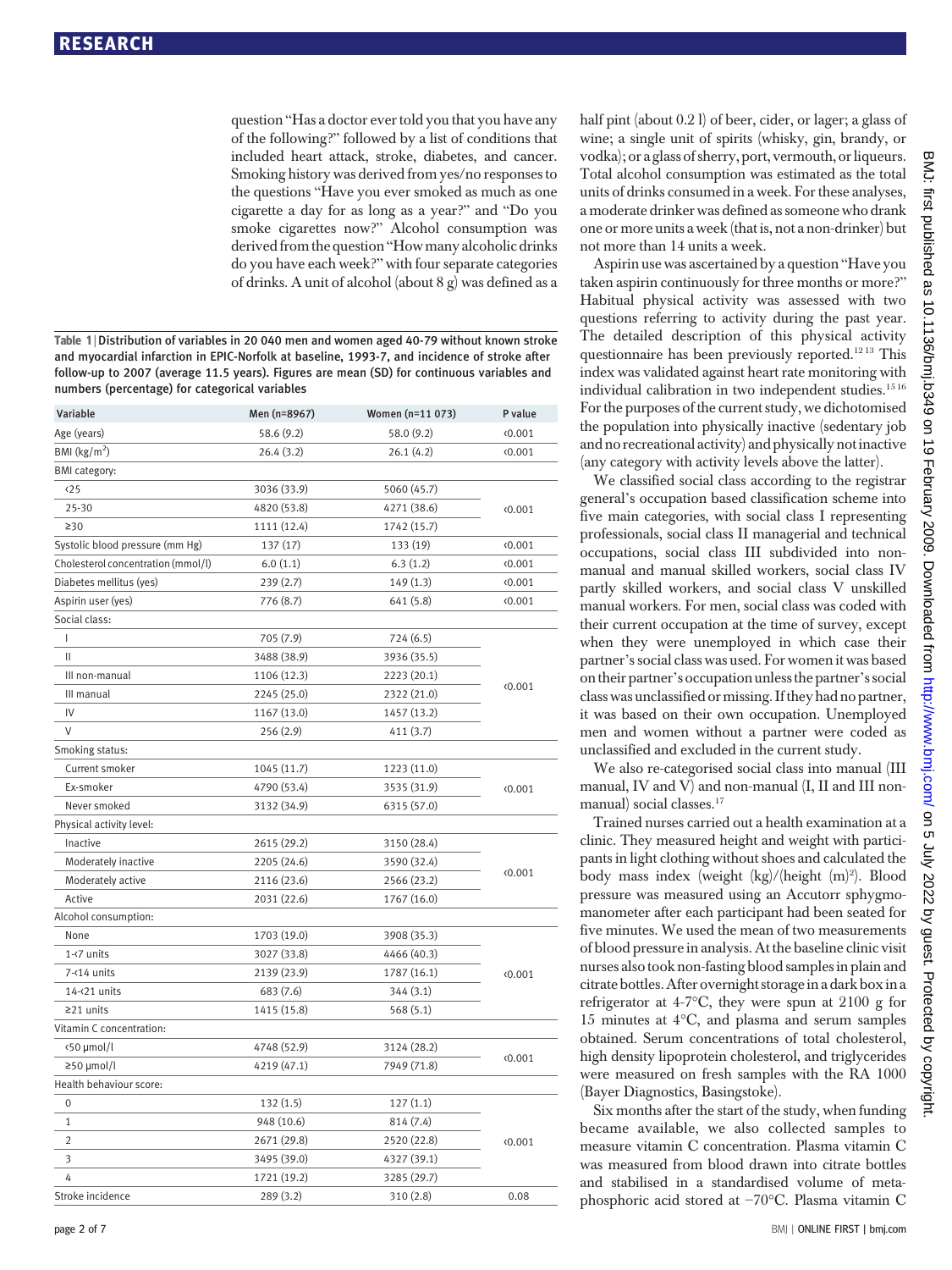question "Has a doctor ever told you that you have any of the following?" followed by a list of conditions that included heart attack, stroke, diabetes, and cancer. Smoking history was derived from yes/no responses to the questions "Have you ever smoked as much as one cigarette a day for as long as a year?" and "Do you smoke cigarettes now?" Alcohol consumption was derived from the question "How many alcoholic drinks do you have each week?" with four separate categories of drinks. A unit of alcohol (about 8 g) was defined as a

Table 1 | Distribution of variables in 20 040 men and women aged 40-79 without known stroke and myocardial infarction in EPIC-Norfolk at baseline, 1993-7, and incidence of stroke after follow-up to 2007 (average 11.5 years). Figures are mean (SD) for continuous variables and numbers (percentage) for categorical variables

| Variable                           | Men (n=8967) | Women (n=11 073) | P value |  |
|------------------------------------|--------------|------------------|---------|--|
| Age (years)                        | 58.6 (9.2)   | 58.0 (9.2)       | 0.001   |  |
| BMI $(kg/m2)$                      | 26.4(3.2)    | 26.1(4.2)        | 0.001   |  |
| <b>BMI</b> category:               |              |                  |         |  |
| $\langle 25$                       | 3036 (33.9)  | 5060 (45.7)      |         |  |
| 25-30                              | 4820 (53.8)  | 4271 (38.6)      | 0.001   |  |
| 230                                | 1111 (12.4)  | 1742 (15.7)      |         |  |
| Systolic blood pressure (mm Hg)    | 137 (17)     | 133 (19)         | 0.001   |  |
| Cholesterol concentration (mmol/l) | 6.0(1.1)     | 6.3(1.2)         | 0.001   |  |
| Diabetes mellitus (yes)            | 239 (2.7)    | 149(1.3)         | 0.001   |  |
| Aspirin user (yes)                 | 776 (8.7)    | 641 (5.8)        | 0.001   |  |
| Social class:                      |              |                  |         |  |
| $\mathbf{I}$                       | 705 (7.9)    | 724 (6.5)        |         |  |
| Ш                                  | 3488 (38.9)  | 3936 (35.5)      |         |  |
| III non-manual                     | 1106 (12.3)  | 2223 (20.1)      |         |  |
| III manual                         | 2245 (25.0)  | 2322 (21.0)      | 0.001   |  |
| IV                                 | 1167 (13.0)  | 1457 (13.2)      |         |  |
| V                                  | 256 (2.9)    | 411(3.7)         |         |  |
| Smoking status:                    |              |                  |         |  |
| Current smoker                     | 1045 (11.7)  | 1223 (11.0)      |         |  |
| Ex-smoker                          | 4790 (53.4)  | 3535 (31.9)      | (0.001) |  |
| Never smoked                       | 3132 (34.9)  | 6315 (57.0)      |         |  |
| Physical activity level:           |              |                  |         |  |
| Inactive                           | 2615 (29.2)  | 3150 (28.4)      |         |  |
| Moderately inactive                | 2205 (24.6)  | 3590 (32.4)      |         |  |
| Moderately active                  | 2116 (23.6)  | 2566 (23.2)      | 0.001   |  |
| Active                             | 2031 (22.6)  | 1767 (16.0)      |         |  |
| Alcohol consumption:               |              |                  |         |  |
| None                               | 1703 (19.0)  | 3908 (35.3)      |         |  |
| $1-7$ units                        | 3027 (33.8)  | 4466 (40.3)      |         |  |
| $7 - 14$ units                     | 2139 (23.9)  | 1787 (16.1)      | 0.001   |  |
| 14-<21 units                       | 683 (7.6)    | 344(3.1)         |         |  |
| $\geq$ 21 units                    | 1415 (15.8)  | 568(5.1)         |         |  |
| Vitamin C concentration:           |              |                  |         |  |
| <50 µmol/l                         | 4748 (52.9)  | 3124 (28.2)      |         |  |
| $≥50 \mu mol/l$                    | 4219 (47.1)  | 7949 (71.8)      | 0.001   |  |
| Health behaviour score:            |              |                  |         |  |
| 0                                  | 132 (1.5)    | 127(1.1)         |         |  |
| $\mathbf{1}$                       | 948 (10.6)   | 814 (7.4)        |         |  |
| $\overline{2}$                     | 2671 (29.8)  | 2520 (22.8)      | 0.001   |  |
| 3                                  | 3495 (39.0)  | 4327 (39.1)      |         |  |
| 4                                  | 1721 (19.2)  | 3285 (29.7)      |         |  |
| Stroke incidence                   | 289 (3.2)    | 310 (2.8)        | 0.08    |  |

half pint (about 0.2 l) of beer, cider, or lager; a glass of wine; a single unit of spirits (whisky, gin, brandy, or vodka); or a glass of sherry, port, vermouth, or liqueurs. Total alcohol consumption was estimated as the total units of drinks consumed in a week. For these analyses, a moderate drinker was defined as someone who drank one or more units a week (that is, not a non-drinker) but not more than 14 units a week.

Aspirin use was ascertained by a question "Have you taken aspirin continuously for three months or more?" Habitual physical activity was assessed with two questions referring to activity during the past year. The detailed description of this physical activity questionnaire has been previously reported.12 13 This index was validated against heart rate monitoring with individual calibration in two independent studies.<sup>1516</sup> For the purposes of the current study, we dichotomised the population into physically inactive (sedentary job and no recreational activity) and physically not inactive (any category with activity levels above the latter).

We classified social class according to the registrar general's occupation based classification scheme into five main categories, with social class I representing professionals, social class II managerial and technical occupations, social class III subdivided into nonmanual and manual skilled workers, social class IV partly skilled workers, and social class V unskilled manual workers. For men, social class was coded with their current occupation at the time of survey, except when they were unemployed in which case their partner's social class was used. For women it was based ontheir partner's occupation unlessthe partner's social class was unclassified or missing. If they had no partner, it was based on their own occupation. Unemployed men and women without a partner were coded as unclassified and excluded in the current study.

We also re-categorised social class into manual (III manual, IV and V) and non-manual (I, II and III nonmanual) social classes.<sup>17</sup>

Trained nurses carried out a health examination at a clinic. They measured height and weight with participants in light clothing without shoes and calculated the body mass index (weight (kg)/(height (m)<sup>2</sup>). Blood pressure was measured using an Accutorr sphygmomanometer after each participant had been seated for five minutes. We used the mean of two measurements of blood pressure in analysis. At the baseline clinic visit nurses also took non-fasting blood samples in plain and citrate bottles. After overnight storage in a dark box in a refrigerator at 4-7 $^{\circ}$ C, they were spun at 2100 g for 15 minutes at 4°C, and plasma and serum samples obtained. Serum concentrations of total cholesterol, high density lipoprotein cholesterol, and triglycerides were measured on fresh samples with the RA 1000 (Bayer Diagnostics, Basingstoke).

Six months after the start of the study, when funding became available, we also collected samples to measure vitamin C concentration. Plasma vitamin C was measured from blood drawn into citrate bottles and stabilised in a standardised volume of metaphosphoric acid stored at −70°C. Plasma vitamin C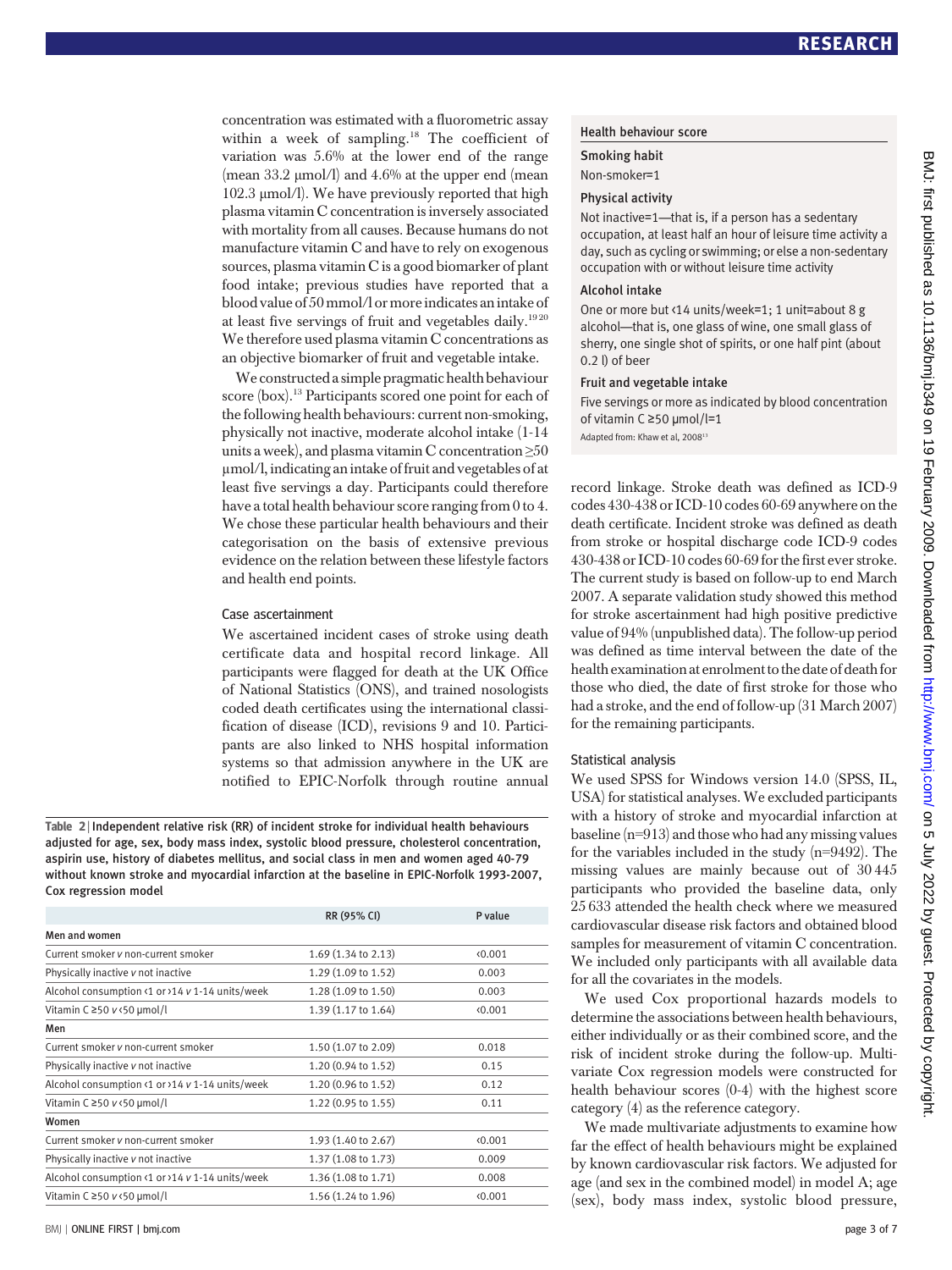concentration was estimated with a fluorometric assay within a week of sampling.<sup>18</sup> The coefficient of variation was 5.6% at the lower end of the range (mean 33.2 μmol/l) and 4.6% at the upper end (mean 102.3 μmol/l). We have previously reported that high plasma vitamin C concentration is inversely associated with mortality from all causes. Because humans do not manufacture vitamin C and have to rely on exogenous sources, plasma vitamin C is a good biomarker of plant food intake; previous studies have reported that a blood value of 50 mmol/l or more indicates an intake of at least five servings of fruit and vegetables daily.<sup>1920</sup> We therefore used plasma vitamin C concentrations as an objective biomarker of fruit and vegetable intake.

We constructed a simple pragmatic health behaviour score (box).<sup>13</sup> Participants scored one point for each of the following health behaviours: current non-smoking, physically not inactive, moderate alcohol intake (1-14 units a week), and plasma vitamin C concentration  $\geq 50$ µmol/l, indicating an intake of fruit and vegetables of at least five servings a day. Participants could therefore have a total health behaviour score ranging from 0 to 4. We chose these particular health behaviours and their categorisation on the basis of extensive previous evidence on the relation between these lifestyle factors and health end points.

#### Case ascertainment

We ascertained incident cases of stroke using death certificate data and hospital record linkage. All participants were flagged for death at the UK Office of National Statistics (ONS), and trained nosologists coded death certificates using the international classification of disease (ICD), revisions 9 and 10. Participants are also linked to NHS hospital information systems so that admission anywhere in the UK are notified to EPIC-Norfolk through routine annual

Table 2 <sup>|</sup> Independent relative risk (RR) of incident stroke for individual health behaviours adjusted for age, sex, body mass index, systolic blood pressure, cholesterol concentration, aspirin use, history of diabetes mellitus, and social class in men and women aged 40-79 without known stroke and myocardial infarction at the baseline in EPIC-Norfolk 1993-2007, Cox regression model

|                                                 | RR (95% CI)                   | P value |
|-------------------------------------------------|-------------------------------|---------|
| Men and women                                   |                               |         |
| Current smoker v non-current smoker             | 1.69 (1.34 to 2.13)           | (0.001) |
| Physically inactive v not inactive              | 1.29 (1.09 to 1.52)           | 0.003   |
| Alcohol consumption <1 or >14 v 1-14 units/week | 1.28 (1.09 to 1.50)           | 0.003   |
| Vitamin C $\geq$ 50 v < 50 µmol/l               | 1.39 (1.17 to 1.64)           | (0.001) |
| Men                                             |                               |         |
| Current smoker v non-current smoker             | 1.50 (1.07 to 2.09)           | 0.018   |
| Physically inactive v not inactive              | 1.20 (0.94 to 1.52)           | 0.15    |
| Alcohol consumption <1 or >14 v 1-14 units/week | 1.20 (0.96 to 1.52)           | 0.12    |
| Vitamin C ≥50 v <50 µmol/l                      | $1.22(0.95 \text{ to } 1.55)$ | 0.11    |
| Women                                           |                               |         |
| Current smoker v non-current smoker             | 1.93 (1.40 to 2.67)           | (0.001) |
| Physically inactive v not inactive              | 1.37 (1.08 to 1.73)           | 0.009   |
| Alcohol consumption <1 or >14 v 1-14 units/week | 1.36 (1.08 to 1.71)           | 0.008   |
| Vitamin C $\geq$ 50 v < 50 µmol/l               | 1.56 (1.24 to 1.96)           | (0.001) |

#### Health behaviour score

Smoking habit

Non-smoker=1

#### Physical activity

Not inactive=1—that is, if a person has a sedentary occupation, at least half an hour of leisure time activity a day, such as cycling or swimming; or else a non-sedentary occupation with or without leisure time activity

#### Alcohol intake

One or more but <14 units/week=1; 1 unit=about 8 g alcohol—that is, one glass of wine, one small glass of sherry, one single shot of spirits, or one half pint (about 0.2 l) of beer

#### Fruit and vegetable intake

Five servings or more as indicated by blood concentration of vitamin C ≥50 µmol/l=1 Adapted from: Khaw et al, 200813

record linkage. Stroke death was defined as ICD-9 codes 430-438 or ICD-10 codes 60-69 anywhere on the death certificate. Incident stroke was defined as death from stroke or hospital discharge code ICD-9 codes 430-438 or ICD-10 codes 60-69 for the first ever stroke. The current study is based on follow-up to end March 2007. A separate validation study showed this method for stroke ascertainment had high positive predictive value of 94% (unpublished data). The follow-up period was defined as time interval between the date of the health examination at enrolment to the date of death for those who died, the date of first stroke for those who had a stroke, and the end of follow-up (31 March 2007) for the remaining participants.

#### Statistical analysis

We used SPSS for Windows version 14.0 (SPSS, IL, USA) for statistical analyses. We excluded participants with a history of stroke and myocardial infarction at baseline (n=913) and those who had any missing values for the variables included in the study (n=9492). The missing values are mainly because out of 30 445 participants who provided the baseline data, only 25 633 attended the health check where we measured cardiovascular disease risk factors and obtained blood samples for measurement of vitamin C concentration. We included only participants with all available data for all the covariates in the models.

We used Cox proportional hazards models to determine the associations between health behaviours, either individually or as their combined score, and the risk of incident stroke during the follow-up. Multivariate Cox regression models were constructed for health behaviour scores (0-4) with the highest score category (4) as the reference category.

We made multivariate adjustments to examine how far the effect of health behaviours might be explained by known cardiovascular risk factors. We adjusted for age (and sex in the combined model) in model A; age (sex), body mass index, systolic blood pressure,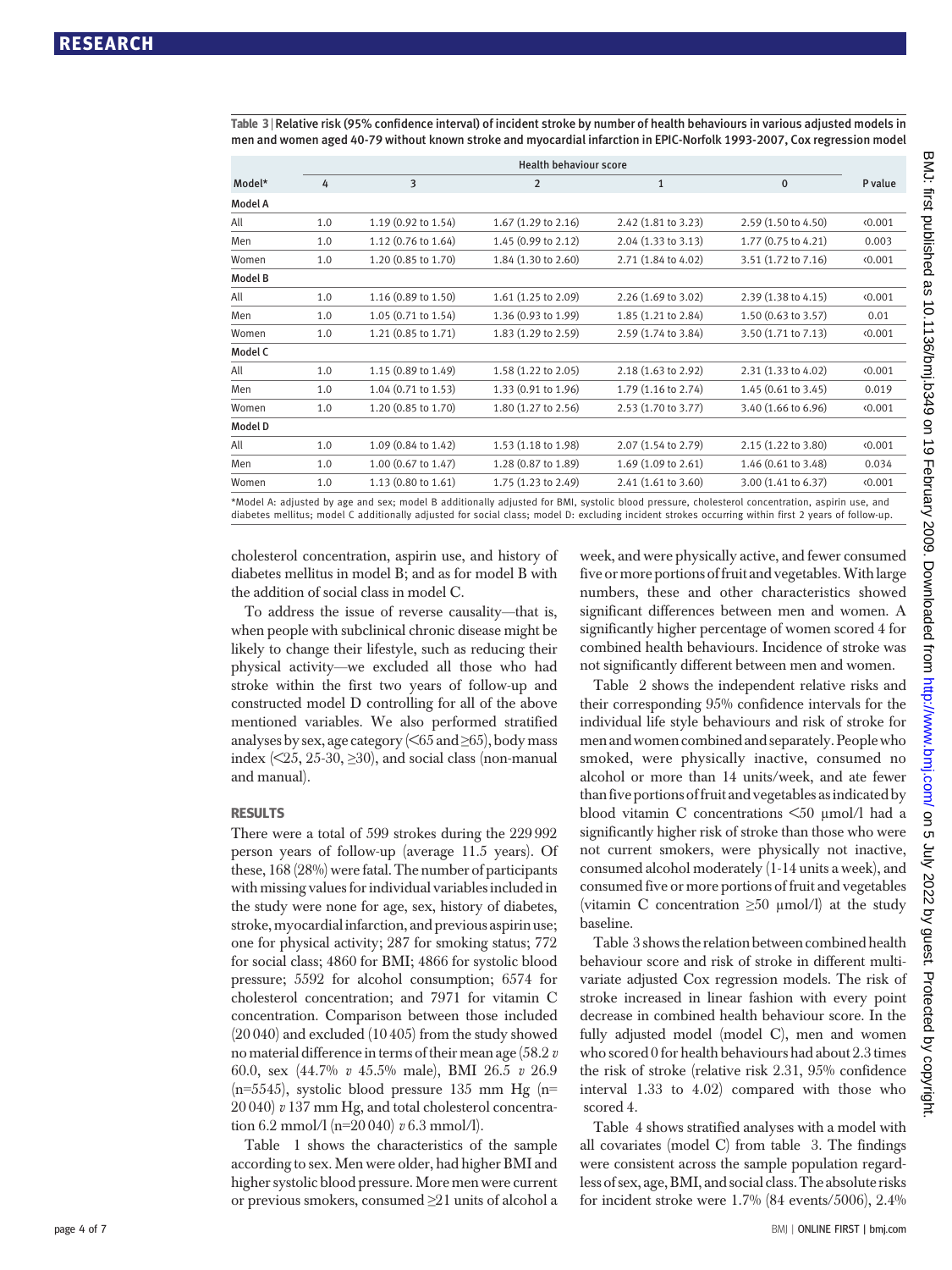Table 3 <sup>|</sup> Relative risk (95% confidence interval) of incident stroke by number of health behaviours in various adjusted models in men and women aged 40-79 without known stroke and myocardial infarction in EPIC-Norfolk 1993-2007, Cox regression model

|                                                                                                                                                | <b>Health behaviour score</b> |                     |                     |                     |                               |         |
|------------------------------------------------------------------------------------------------------------------------------------------------|-------------------------------|---------------------|---------------------|---------------------|-------------------------------|---------|
| Model*                                                                                                                                         | 4                             | 3                   | $\overline{2}$      | $\mathbf{1}$        | $\mathbf{0}$                  | P value |
| Model A                                                                                                                                        |                               |                     |                     |                     |                               |         |
| All                                                                                                                                            | 1.0                           | 1.19 (0.92 to 1.54) | 1.67 (1.29 to 2.16) | 2.42 (1.81 to 3.23) | 2.59 (1.50 to 4.50)           | 0.001   |
| Men                                                                                                                                            | 1.0                           | 1.12 (0.76 to 1.64) | 1.45 (0.99 to 2.12) | 2.04 (1.33 to 3.13) | 1.77 (0.75 to 4.21)           | 0.003   |
| Women                                                                                                                                          | 1.0                           | 1.20 (0.85 to 1.70) | 1.84 (1.30 to 2.60) | 2.71 (1.84 to 4.02) | 3.51 (1.72 to 7.16)           | 0.001   |
| Model B                                                                                                                                        |                               |                     |                     |                     |                               |         |
| All                                                                                                                                            | 1.0                           | 1.16 (0.89 to 1.50) | 1.61 (1.25 to 2.09) | 2.26 (1.69 to 3.02) | $2.39(1.38 \text{ to } 4.15)$ | 0.001   |
| Men                                                                                                                                            | 1.0                           | 1.05 (0.71 to 1.54) | 1.36 (0.93 to 1.99) | 1.85 (1.21 to 2.84) | 1.50 (0.63 to 3.57)           | 0.01    |
| Women                                                                                                                                          | 1.0                           | 1.21 (0.85 to 1.71) | 1.83 (1.29 to 2.59) | 2.59 (1.74 to 3.84) | 3.50 (1.71 to 7.13)           | 0.001   |
| Model C                                                                                                                                        |                               |                     |                     |                     |                               |         |
| All                                                                                                                                            | 1.0                           | 1.15 (0.89 to 1.49) | 1.58 (1.22 to 2.05) | 2.18 (1.63 to 2.92) | 2.31 (1.33 to 4.02)           | 0.001   |
| Men                                                                                                                                            | 1.0                           | 1.04 (0.71 to 1.53) | 1.33 (0.91 to 1.96) | 1.79 (1.16 to 2.74) | $1.45(0.61 \text{ to } 3.45)$ | 0.019   |
| Women                                                                                                                                          | 1.0                           | 1.20 (0.85 to 1.70) | 1.80 (1.27 to 2.56) | 2.53 (1.70 to 3.77) | 3.40 (1.66 to 6.96)           | 0.001   |
| Model D                                                                                                                                        |                               |                     |                     |                     |                               |         |
| All                                                                                                                                            | 1.0                           | 1.09 (0.84 to 1.42) | 1.53 (1.18 to 1.98) | 2.07 (1.54 to 2.79) | 2.15 (1.22 to 3.80)           | 0.001   |
| Men                                                                                                                                            | 1.0                           | 1.00 (0.67 to 1.47) | 1.28 (0.87 to 1.89) | 1.69 (1.09 to 2.61) | 1.46 (0.61 to 3.48)           | 0.034   |
| Women                                                                                                                                          | 1.0                           | 1.13 (0.80 to 1.61) | 1.75 (1.23 to 2.49) | 2.41 (1.61 to 3.60) | 3.00 (1.41 to 6.37)           | 0.001   |
| *Model A: adjusted by age and sex; model B additionally adjusted for BMI, systolic blood pressure, cholesterol concentration, aspirin use, and |                               |                     |                     |                     |                               |         |

diabetes mellitus; model C additionally adjusted for social class; model D: excluding incident strokes occurring within first 2 years of follow-up

cholesterol concentration, aspirin use, and history of diabetes mellitus in model B; and as for model B with the addition of social class in model C.

To address the issue of reverse causality—that is, when people with subclinical chronic disease might be likely to change their lifestyle, such as reducing their physical activity—we excluded all those who had stroke within the first two years of follow-up and constructed model D controlling for all of the above mentioned variables. We also performed stratified analyses by sex, age category  $\leq 65$  and  $\geq 65$ ), body mass index  $\langle 25, 25-30, \geq 30 \rangle$ , and social class (non-manual and manual).

#### RESULTS

There were a total of 599 strokes during the 229 992 person years of follow-up (average 11.5 years). Of these, 168 (28%) were fatal. The number of participants with missing values for individual variables included in the study were none for age, sex, history of diabetes, stroke,myocardial infarction, and previous aspirin use; one for physical activity; 287 for smoking status; 772 for social class; 4860 for BMI; 4866 for systolic blood pressure; 5592 for alcohol consumption; 6574 for cholesterol concentration; and 7971 for vitamin C concentration. Comparison between those included (20 040) and excluded (10 405) from the study showed no material difference in terms of their mean age (58.2 v 60.0, sex (44.7% v 45.5% male), BMI 26.5 v 26.9 (n=5545), systolic blood pressure 135 mm Hg (n= 20 040) v 137 mm Hg, and total cholesterol concentration 6.2 mmol/l (n=20 040)  $v$  6.3 mmol/l).

Table 1 shows the characteristics of the sample according to sex. Men were older, had higher BMI and higher systolic blood pressure. More men were current or previous smokers, consumed ≥21 units of alcohol a week, and were physically active, and fewer consumed five or more portions of fruit and vegetables.With large numbers, these and other characteristics showed significant differences between men and women. A significantly higher percentage of women scored 4 for combined health behaviours. Incidence of stroke was not significantly different between men and women.

Table 2 shows the independent relative risks and their corresponding 95% confidence intervals for the individual life style behaviours and risk of stroke for men and women combined and separately. People who smoked, were physically inactive, consumed no alcohol or more than 14 units/week, and ate fewer thanfive portions offruit and vegetables as indicated by blood vitamin C concentrations <50 µmol/l had a significantly higher risk of stroke than those who were not current smokers, were physically not inactive, consumed alcohol moderately (1-14 units a week), and consumed five or more portions of fruit and vegetables (vitamin C concentration  $\geq 50 \mu$  mol/l) at the study baseline.

Table 3 showsthe relation between combined health behaviour score and risk of stroke in different multivariate adjusted Cox regression models. The risk of stroke increased in linear fashion with every point decrease in combined health behaviour score. In the fully adjusted model (model C), men and women who scored 0 for health behaviours had about 2.3 times the risk of stroke (relative risk 2.31, 95% confidence interval 1.33 to 4.02) compared with those who scored 4.

Table 4 shows stratified analyses with a model with all covariates (model C) from table 3. The findings were consistent across the sample population regardless of sex, age, BMI, and social class. The absolute risks for incident stroke were 1.7% (84 events/5006), 2.4%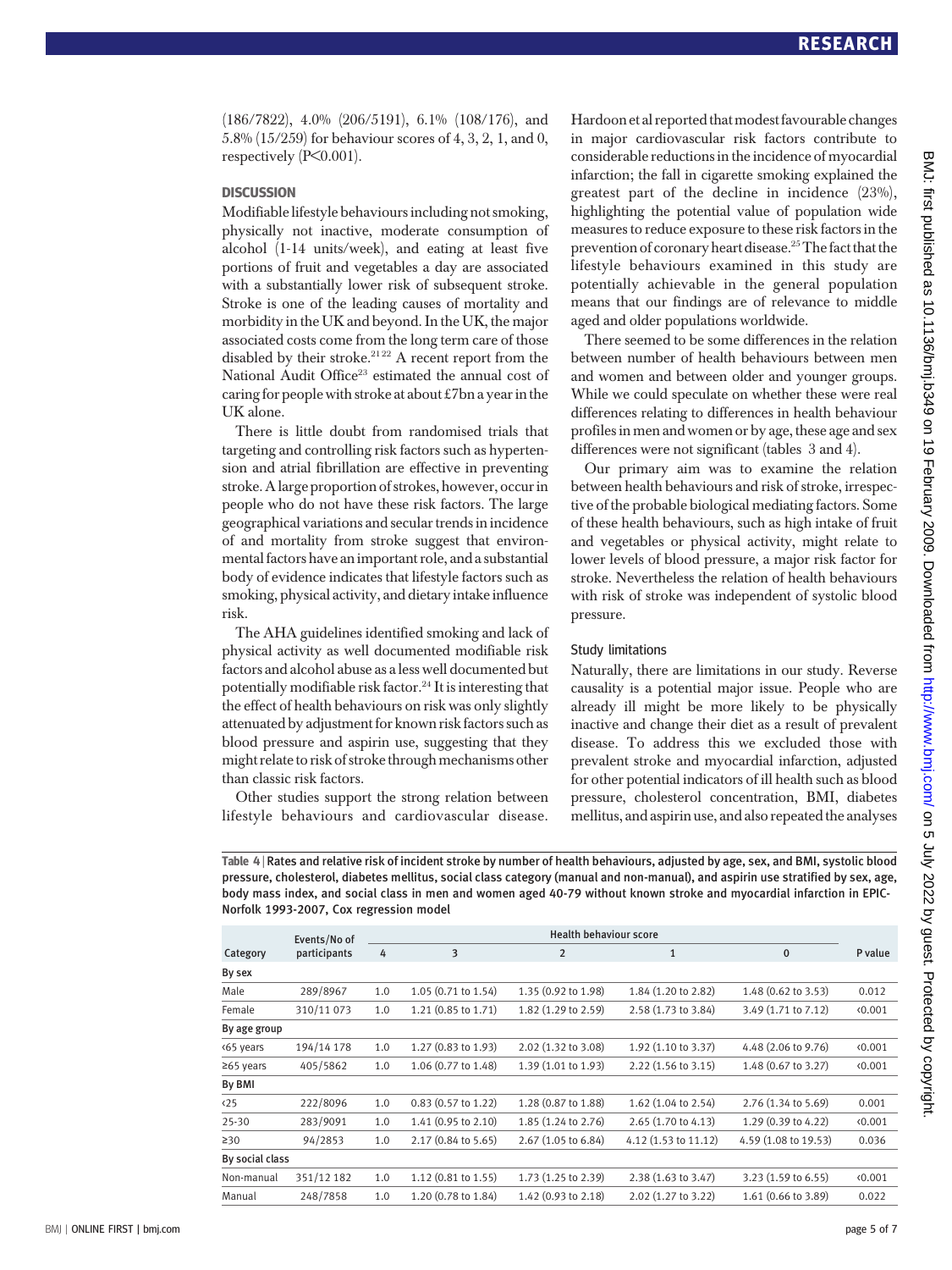(186/7822), 4.0% (206/5191), 6.1% (108/176), and 5.8% (15/259) for behaviour scores of 4, 3, 2, 1, and 0, respectively (P<0.001).

#### **DISCUSSION**

Modifiable lifestyle behaviours including not smoking, physically not inactive, moderate consumption of alcohol (1-14 units/week), and eating at least five portions of fruit and vegetables a day are associated with a substantially lower risk of subsequent stroke. Stroke is one of the leading causes of mortality and morbidity in the UK and beyond. In the UK, the major associated costs come from the long term care of those disabled by their stroke.<sup>21 22</sup> A recent report from the National Audit Office<sup>23</sup> estimated the annual cost of caring for people with stroke at about £7bn a year in the UK alone.

There is little doubt from randomised trials that targeting and controlling risk factors such as hypertension and atrial fibrillation are effective in preventing stroke. A large proportion of strokes, however, occur in people who do not have these risk factors. The large geographical variations and secular trends in incidence of and mortality from stroke suggest that environmental factors have an important role, and a substantial body of evidence indicates that lifestyle factors such as smoking, physical activity, and dietary intake influence risk.

The AHA guidelines identified smoking and lack of physical activity as well documented modifiable risk factors and alcohol abuse as a less well documented but potentially modifiable risk factor.<sup>24</sup> It is interesting that the effect of health behaviours on risk was only slightly attenuated by adjustment for known risk factors such as blood pressure and aspirin use, suggesting that they might relate to risk of stroke through mechanisms other than classic risk factors.

Other studies support the strong relation between lifestyle behaviours and cardiovascular disease.

Hardoon et al reported that modest favourable changes in major cardiovascular risk factors contribute to considerable reductions in the incidence of myocardial infarction; the fall in cigarette smoking explained the greatest part of the decline in incidence (23%), highlighting the potential value of population wide measures to reduce exposure to these risk factors in the prevention of coronary heart disease.<sup>25</sup>The fact that the lifestyle behaviours examined in this study are potentially achievable in the general population means that our findings are of relevance to middle aged and older populations worldwide.

There seemed to be some differences in the relation between number of health behaviours between men and women and between older and younger groups. While we could speculate on whether these were real differences relating to differences in health behaviour profiles in men and women or by age, these age and sex differences were not significant (tables 3 and 4).

Our primary aim was to examine the relation between health behaviours and risk of stroke, irrespective of the probable biological mediating factors. Some of these health behaviours, such as high intake of fruit and vegetables or physical activity, might relate to lower levels of blood pressure, a major risk factor for stroke. Nevertheless the relation of health behaviours with risk of stroke was independent of systolic blood pressure.

#### Study limitations

Naturally, there are limitations in our study. Reverse causality is a potential major issue. People who are already ill might be more likely to be physically inactive and change their diet as a result of prevalent disease. To address this we excluded those with prevalent stroke and myocardial infarction, adjusted for other potential indicators of ill health such as blood pressure, cholesterol concentration, BMI, diabetes mellitus, and aspirin use, and also repeated the analyses

Table 4 <sup>|</sup> Rates and relative risk of incident stroke by number of health behaviours, adjusted by age, sex, and BMI, systolic blood pressure, cholesterol, diabetes mellitus, social class category (manual and non-manual), and aspirin use stratified by sex, age, body mass index, and social class in men and women aged 40-79 without known stroke and myocardial infarction in EPIC-Norfolk 1993-2007, Cox regression model

| Category        | Events/No of<br>participants | <b>Health behaviour score</b> |                               |                     |                      |                      |         |
|-----------------|------------------------------|-------------------------------|-------------------------------|---------------------|----------------------|----------------------|---------|
|                 |                              | 4                             | 3                             | $\overline{2}$      | $\mathbf{1}$         | $\mathbf 0$          | P value |
| By sex          |                              |                               |                               |                     |                      |                      |         |
| Male            | 289/8967                     | 1.0                           | 1.05 (0.71 to 1.54)           | 1.35 (0.92 to 1.98) | 1.84 (1.20 to 2.82)  | 1.48 (0.62 to 3.53)  | 0.012   |
| Female          | 310/11 073                   | 1.0                           | 1.21 (0.85 to 1.71)           | 1.82 (1.29 to 2.59) | 2.58 (1.73 to 3.84)  | 3.49 (1.71 to 7.12)  | 0.001   |
| By age group    |                              |                               |                               |                     |                      |                      |         |
| <65 years       | 194/14 178                   | 1.0                           | 1.27 (0.83 to 1.93)           | 2.02 (1.32 to 3.08) | 1.92 (1.10 to 3.37)  | 4.48 (2.06 to 9.76)  | 0.001   |
| $\geq 65$ years | 405/5862                     | 1.0                           | 1.06 (0.77 to 1.48)           | 1.39 (1.01 to 1.93) | 2.22 (1.56 to 3.15)  | 1.48 (0.67 to 3.27)  | 0.001   |
| By BMI          |                              |                               |                               |                     |                      |                      |         |
| $\langle 25$    | 222/8096                     | 1.0                           | $0.83(0.57 \text{ to } 1.22)$ | 1.28 (0.87 to 1.88) | 1.62 (1.04 to 2.54)  | 2.76 (1.34 to 5.69)  | 0.001   |
| 25-30           | 283/9091                     | 1.0                           | 1.41 (0.95 to 2.10)           | 1.85 (1.24 to 2.76) | 2.65 (1.70 to 4.13)  | 1.29 (0.39 to 4.22)  | 0.001   |
| $\geq 30$       | 94/2853                      | 1.0                           | 2.17 (0.84 to 5.65)           | 2.67 (1.05 to 6.84) | 4.12 (1.53 to 11.12) | 4.59 (1.08 to 19.53) | 0.036   |
| By social class |                              |                               |                               |                     |                      |                      |         |
| Non-manual      | 351/12 182                   | 1.0                           | $1.12(0.81 \text{ to } 1.55)$ | 1.73 (1.25 to 2.39) | 2.38 (1.63 to 3.47)  | 3.23 (1.59 to 6.55)  | 0.001   |
| Manual          | 248/7858                     | 1.0                           | 1.20 (0.78 to 1.84)           | 1.42 (0.93 to 2.18) | 2.02 (1.27 to 3.22)  | 1.61 (0.66 to 3.89)  | 0.022   |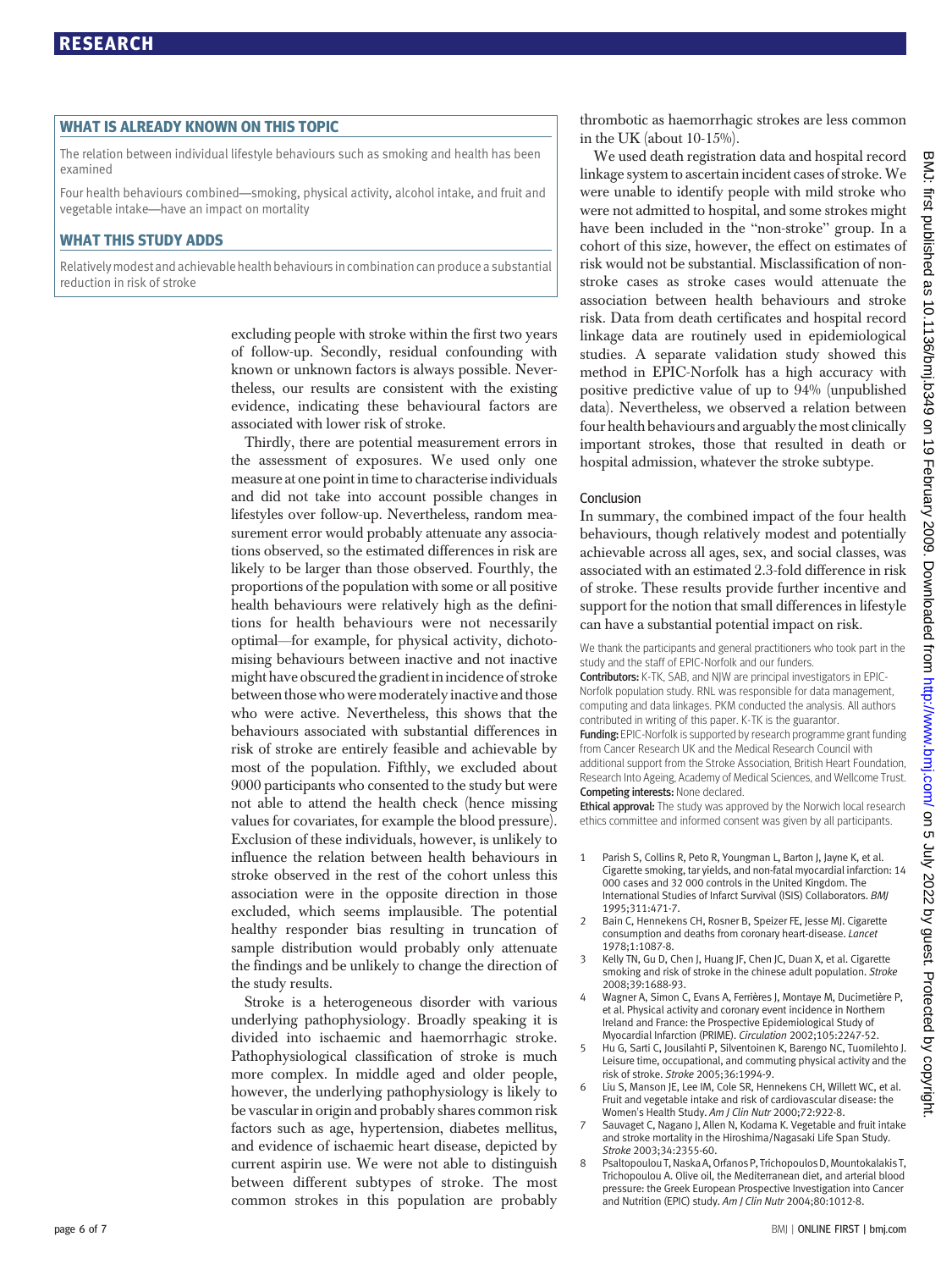#### WHAT IS ALREADY KNOWN ON THIS TOPIC

The relation between individual lifestyle behaviours such as smoking and health has been examined

Four health behaviours combined—smoking, physical activity, alcohol intake, and fruit and vegetable intake—have an impact on mortality

#### WHAT THIS STUDY ADDS

Relativelymodest and achievable health behaviours in combination can produce a substantial reduction in risk of stroke

> excluding people with stroke within the first two years of follow-up. Secondly, residual confounding with known or unknown factors is always possible. Nevertheless, our results are consistent with the existing evidence, indicating these behavioural factors are associated with lower risk of stroke.

> Thirdly, there are potential measurement errors in the assessment of exposures. We used only one measure at one point in time to characterise individuals and did not take into account possible changes in lifestyles over follow-up. Nevertheless, random measurement error would probably attenuate any associations observed, so the estimated differences in risk are likely to be larger than those observed. Fourthly, the proportions of the population with some or all positive health behaviours were relatively high as the definitions for health behaviours were not necessarily optimal—for example, for physical activity, dichotomising behaviours between inactive and not inactive might have obscured the gradient in incidence of stroke between those who were moderately inactive and those who were active. Nevertheless, this shows that the behaviours associated with substantial differences in risk of stroke are entirely feasible and achievable by most of the population. Fifthly, we excluded about 9000 participants who consented to the study but were not able to attend the health check (hence missing values for covariates, for example the blood pressure). Exclusion of these individuals, however, is unlikely to influence the relation between health behaviours in stroke observed in the rest of the cohort unless this association were in the opposite direction in those excluded, which seems implausible. The potential healthy responder bias resulting in truncation of sample distribution would probably only attenuate the findings and be unlikely to change the direction of the study results.

> Stroke is a heterogeneous disorder with various underlying pathophysiology. Broadly speaking it is divided into ischaemic and haemorrhagic stroke. Pathophysiological classification of stroke is much more complex. In middle aged and older people, however, the underlying pathophysiology is likely to be vascular in origin and probably shares common risk factors such as age, hypertension, diabetes mellitus, and evidence of ischaemic heart disease, depicted by current aspirin use. We were not able to distinguish between different subtypes of stroke. The most common strokes in this population are probably

thrombotic as haemorrhagic strokes are less common in the UK (about 10-15%).

We used death registration data and hospital record linkage system to ascertain incident cases of stroke. We were unable to identify people with mild stroke who were not admitted to hospital, and some strokes might have been included in the "non-stroke" group. In a cohort of this size, however, the effect on estimates of risk would not be substantial. Misclassification of nonstroke cases as stroke cases would attenuate the association between health behaviours and stroke risk. Data from death certificates and hospital record linkage data are routinely used in epidemiological studies. A separate validation study showed this method in EPIC-Norfolk has a high accuracy with positive predictive value of up to 94% (unpublished data). Nevertheless, we observed a relation between four health behaviours and arguably the most clinically important strokes, those that resulted in death or hospital admission, whatever the stroke subtype.

#### Conclusion

In summary, the combined impact of the four health behaviours, though relatively modest and potentially achievable across all ages, sex, and social classes, was associated with an estimated 2.3-fold difference in risk of stroke. These results provide further incentive and support for the notion that small differences in lifestyle can have a substantial potential impact on risk.

We thank the participants and general practitioners who took part in the study and the staff of EPIC-Norfolk and our funders.

Contributors: K-TK, SAB, and NJW are principal investigators in EPIC-Norfolk population study. RNL was responsible for data management, computing and data linkages. PKM conducted the analysis. All authors contributed in writing of this paper. K-TK is the guarantor.

Funding: EPIC-Norfolk is supported by research programme grant funding from Cancer Research UK and the Medical Research Council with additional support from the Stroke Association, British Heart Foundation, Research Into Ageing, Academy of Medical Sciences, and Wellcome Trust. Competing interests: None declared.

Ethical approval: The study was approved by the Norwich local research ethics committee and informed consent was given by all participants.

- 1 Parish S, Collins R, Peto R, Youngman L, Barton J, Jayne K, et al. Cigarette smoking, tar yields, and non-fatal myocardial infarction: 14 000 cases and 32 000 controls in the United Kingdom. The International Studies of Infarct Survival (ISIS) Collaborators. BMJ 1995;311:471-7.
- 2 Bain C, Hennekens CH, Rosner B, Speizer FE, Jesse MJ. Cigarette consumption and deaths from coronary heart-disease. Lancet 1978;1:1087-8.
- 3 Kelly TN, Gu D, Chen J, Huang JF, Chen JC, Duan X, et al. Cigarette smoking and risk of stroke in the chinese adult population. Stroke 2008;39:1688-93.
- 4 Wagner A, Simon C, Evans A, Ferrières J, Montaye M, Ducimetière P, et al. Physical activity and coronary event incidence in Northern Ireland and France: the Prospective Epidemiological Study of Myocardial Infarction (PRIME). Circulation 2002;105:2247-52.
- 5 Hu G, Sarti C, Jousilahti P, Silventoinen K, Barengo NC, Tuomilehto J. Leisure time, occupational, and commuting physical activity and the risk of stroke. Stroke 2005;36:1994-9.
- 6 Liu S, Manson JE, Lee IM, Cole SR, Hennekens CH, Willett WC, et al. Fruit and vegetable intake and risk of cardiovascular disease: the Women's Health Study. Am J Clin Nutr 2000;72:922-8.
- 7 Sauvaget C, Nagano J, Allen N, Kodama K. Vegetable and fruit intake and stroke mortality in the Hiroshima/Nagasaki Life Span Study. Stroke 2003;34:2355-60.
- 8 Psaltopoulou T, Naska A, Orfanos P, Trichopoulos D, Mountokalakis T, Trichopoulou A. Olive oil, the Mediterranean diet, and arterial blood pressure: the Greek European Prospective Investigation into Cancer and Nutrition (EPIC) study. Am J Clin Nutr 2004;80:1012-8.